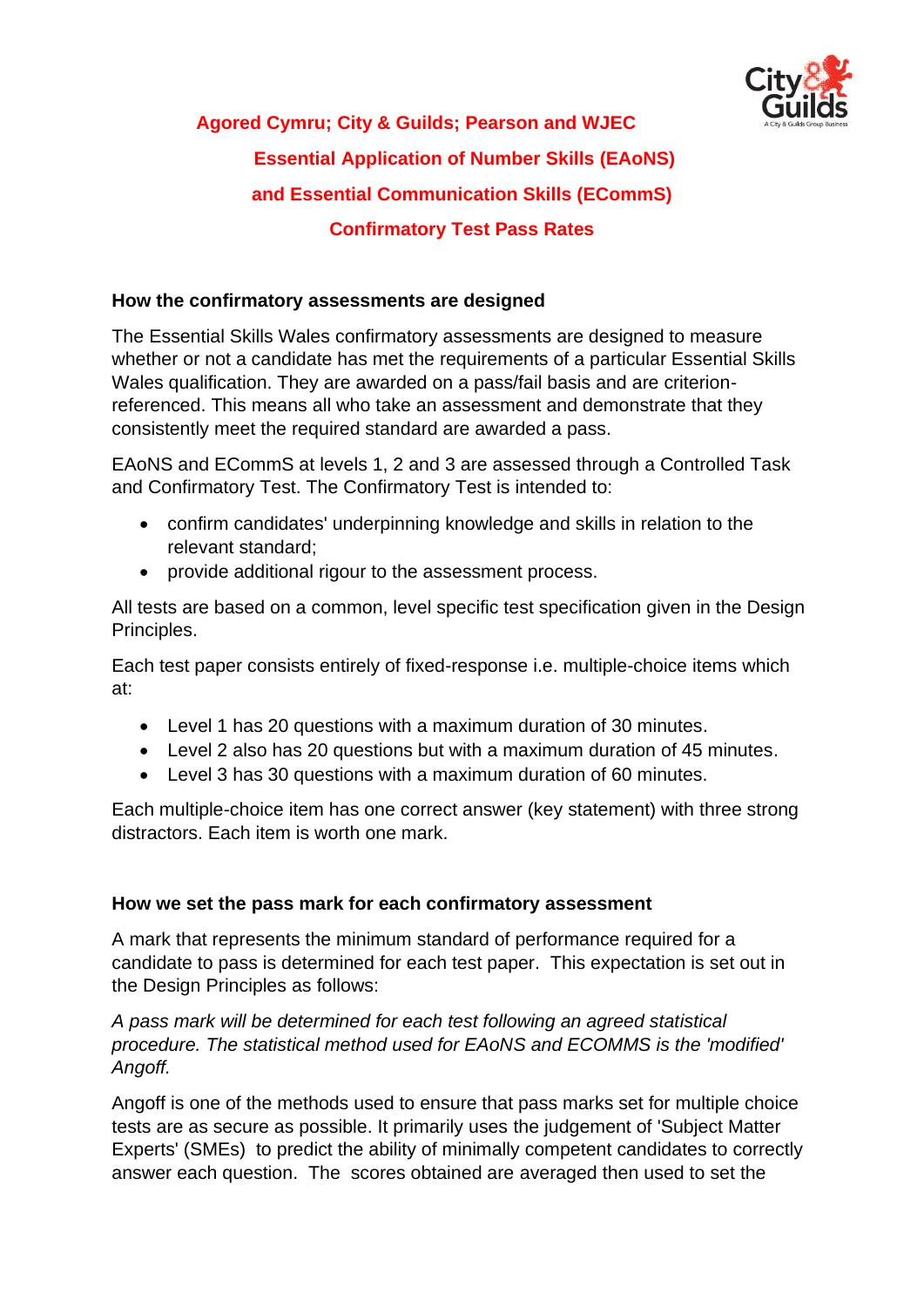

# **Agored Cymru; City & Guilds; Pearson and WJEC Essential Application of Number Skills (EAoNS) and Essential Communication Skills (ECommS) Confirmatory Test Pass Rates**

#### **How the confirmatory assessments are designed**

The Essential Skills Wales confirmatory assessments are designed to measure whether or not a candidate has met the requirements of a particular Essential Skills Wales qualification. They are awarded on a pass/fail basis and are criterionreferenced. This means all who take an assessment and demonstrate that they consistently meet the required standard are awarded a pass.

EAoNS and ECommS at levels 1, 2 and 3 are assessed through a Controlled Task and Confirmatory Test. The Confirmatory Test is intended to:

- confirm candidates' underpinning knowledge and skills in relation to the relevant standard;
- provide additional rigour to the assessment process.

All tests are based on a common, level specific test specification given in the Design Principles.

Each test paper consists entirely of fixed-response i.e. multiple-choice items which at:

- Level 1 has 20 questions with a maximum duration of 30 minutes.
- Level 2 also has 20 questions but with a maximum duration of 45 minutes.
- Level 3 has 30 questions with a maximum duration of 60 minutes.

Each multiple-choice item has one correct answer (key statement) with three strong distractors. Each item is worth one mark.

#### **How we set the pass mark for each confirmatory assessment**

A mark that represents the minimum standard of performance required for a candidate to pass is determined for each test paper. This expectation is set out in the Design Principles as follows:

*A pass mark will be determined for each test following an agreed statistical procedure. The statistical method used for EAoNS and ECOMMS is the 'modified' Angoff.*

Angoff is one of the methods used to ensure that pass marks set for multiple choice tests are as secure as possible. It primarily uses the judgement of 'Subject Matter Experts' (SMEs) to predict the ability of minimally competent candidates to correctly answer each question. The scores obtained are averaged then used to set the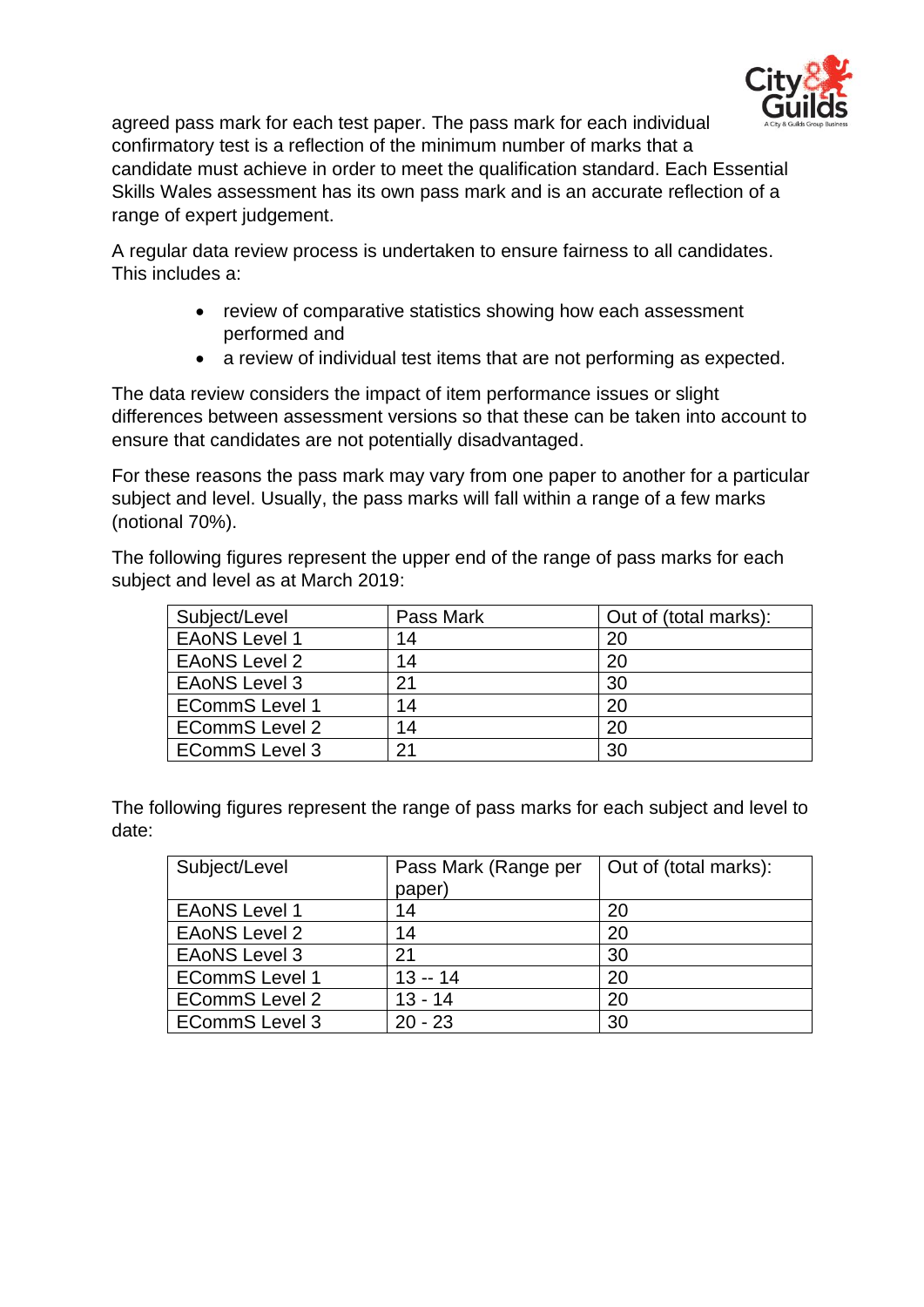

agreed pass mark for each test paper. The pass mark for each individual confirmatory test is a reflection of the minimum number of marks that a candidate must achieve in order to meet the qualification standard. Each Essential Skills Wales assessment has its own pass mark and is an accurate reflection of a range of expert judgement.

A regular data review process is undertaken to ensure fairness to all candidates. This includes a:

- review of comparative statistics showing how each assessment performed and
- a review of individual test items that are not performing as expected.

The data review considers the impact of item performance issues or slight differences between assessment versions so that these can be taken into account to ensure that candidates are not potentially disadvantaged.

For these reasons the pass mark may vary from one paper to another for a particular subject and level. Usually, the pass marks will fall within a range of a few marks (notional 70%).

The following figures represent the upper end of the range of pass marks for each subject and level as at March 2019:

| Subject/Level         | Pass Mark | Out of (total marks): |  |
|-----------------------|-----------|-----------------------|--|
| <b>EAONS Level 1</b>  | 14        | 20                    |  |
| <b>EAONS Level 2</b>  | 14        | 20                    |  |
| <b>EAONS Level 3</b>  | 21        | 30                    |  |
| <b>ECommS Level 1</b> | 14        | 20                    |  |
| <b>ECommS Level 2</b> | 14        | 20                    |  |
| <b>ECommS Level 3</b> | 21        | 30                    |  |

The following figures represent the range of pass marks for each subject and level to date:

| Subject/Level         | Pass Mark (Range per | Out of (total marks): |
|-----------------------|----------------------|-----------------------|
|                       | paper)               |                       |
| <b>EAONS Level 1</b>  | 14                   | 20                    |
| <b>EAONS Level 2</b>  | 14                   | 20                    |
| <b>EAONS Level 3</b>  | 21                   | 30                    |
| <b>ECommS Level 1</b> | $13 - 14$            | 20                    |
| <b>ECommS Level 2</b> | $13 - 14$            | 20                    |
| <b>ECommS Level 3</b> | $20 - 23$            | 30                    |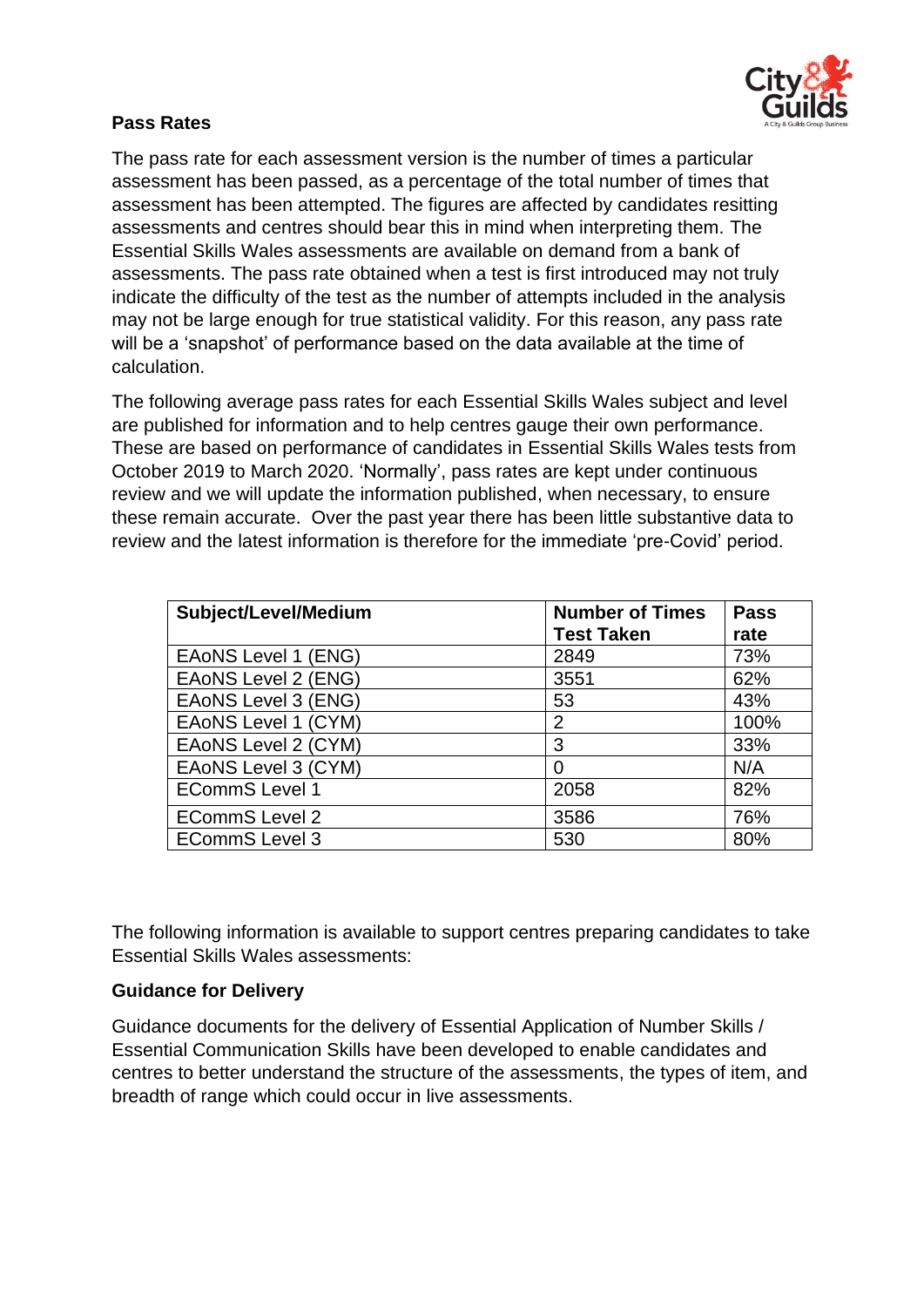

## **Pass Rates**

The pass rate for each assessment version is the number of times a particular assessment has been passed, as a percentage of the total number of times that assessment has been attempted. The figures are affected by candidates resitting assessments and centres should bear this in mind when interpreting them. The Essential Skills Wales assessments are available on demand from a bank of assessments. The pass rate obtained when a test is first introduced may not truly indicate the difficulty of the test as the number of attempts included in the analysis may not be large enough for true statistical validity. For this reason, any pass rate will be a 'snapshot' of performance based on the data available at the time of calculation.

The following average pass rates for each Essential Skills Wales subject and level are published for information and to help centres gauge their own performance. These are based on performance of candidates in Essential Skills Wales tests from October 2019 to March 2020. 'Normally', pass rates are kept under continuous review and we will update the information published, when necessary, to ensure these remain accurate. Over the past year there has been little substantive data to review and the latest information is therefore for the immediate 'pre-Covid' period.

| Subject/Level/Medium       | <b>Number of Times</b> | <b>Pass</b> |
|----------------------------|------------------------|-------------|
|                            | <b>Test Taken</b>      | rate        |
| <b>EAONS Level 1 (ENG)</b> | 2849                   | 73%         |
| EAONS Level 2 (ENG)        | 3551                   | 62%         |
| <b>EAONS Level 3 (ENG)</b> | 53                     | 43%         |
| EAONS Level 1 (CYM)        | $\overline{2}$         | 100%        |
| EAoNS Level 2 (CYM)        | 3                      | 33%         |
| EAoNS Level 3 (CYM)        | 0                      | N/A         |
| <b>ECommS Level 1</b>      | 2058                   | 82%         |
| <b>ECommS Level 2</b>      | 3586                   | 76%         |
| <b>ECommS Level 3</b>      | 530                    | 80%         |

The following information is available to support centres preparing candidates to take Essential Skills Wales assessments:

#### **Guidance for Delivery**

Guidance documents for the delivery of Essential Application of Number Skills / Essential Communication Skills have been developed to enable candidates and centres to better understand the structure of the assessments, the types of item, and breadth of range which could occur in live assessments.